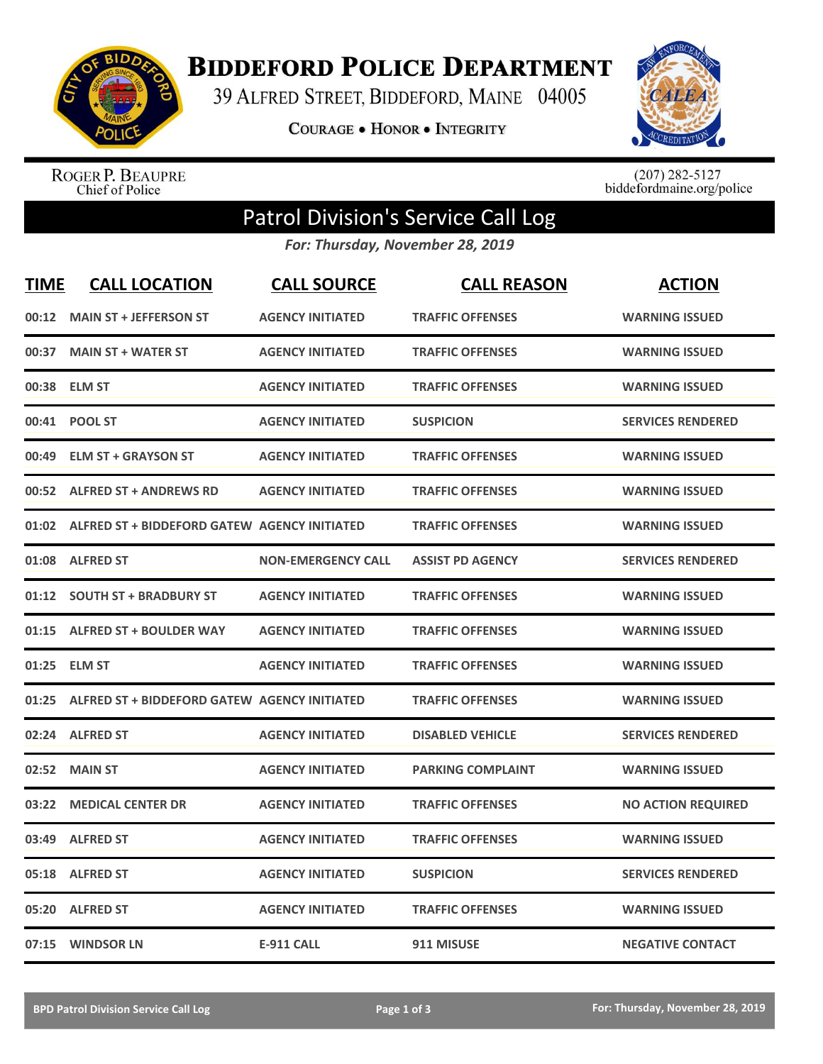

**BIDDEFORD POLICE DEPARTMENT** 

39 ALFRED STREET, BIDDEFORD, MAINE 04005

**COURAGE . HONOR . INTEGRITY** 



ROGER P. BEAUPRE<br>Chief of Police

 $(207)$  282-5127<br>biddefordmaine.org/police

## Patrol Division's Service Call Log

*For: Thursday, November 28, 2019*

| <b>TIME</b> | <b>CALL LOCATION</b>                                | <b>CALL SOURCE</b>        | <b>CALL REASON</b>       | <b>ACTION</b>             |
|-------------|-----------------------------------------------------|---------------------------|--------------------------|---------------------------|
| 00:12       | <b>MAIN ST + JEFFERSON ST</b>                       | <b>AGENCY INITIATED</b>   | <b>TRAFFIC OFFENSES</b>  | <b>WARNING ISSUED</b>     |
| 00:37       | <b>MAIN ST + WATER ST</b>                           | <b>AGENCY INITIATED</b>   | <b>TRAFFIC OFFENSES</b>  | <b>WARNING ISSUED</b>     |
| 00:38       | <b>ELM ST</b>                                       | <b>AGENCY INITIATED</b>   | <b>TRAFFIC OFFENSES</b>  | <b>WARNING ISSUED</b>     |
| 00:41       | <b>POOL ST</b>                                      | <b>AGENCY INITIATED</b>   | <b>SUSPICION</b>         | <b>SERVICES RENDERED</b>  |
| 00:49       | <b>ELM ST + GRAYSON ST</b>                          | <b>AGENCY INITIATED</b>   | <b>TRAFFIC OFFENSES</b>  | <b>WARNING ISSUED</b>     |
| 00:52       | <b>ALFRED ST + ANDREWS RD</b>                       | <b>AGENCY INITIATED</b>   | <b>TRAFFIC OFFENSES</b>  | <b>WARNING ISSUED</b>     |
|             | 01:02 ALFRED ST + BIDDEFORD GATEW AGENCY INITIATED  |                           | <b>TRAFFIC OFFENSES</b>  | <b>WARNING ISSUED</b>     |
| 01:08       | <b>ALFRED ST</b>                                    | <b>NON-EMERGENCY CALL</b> | <b>ASSIST PD AGENCY</b>  | <b>SERVICES RENDERED</b>  |
| 01:12       | <b>SOUTH ST + BRADBURY ST</b>                       | <b>AGENCY INITIATED</b>   | <b>TRAFFIC OFFENSES</b>  | <b>WARNING ISSUED</b>     |
| 01:15       | <b>ALFRED ST + BOULDER WAY</b>                      | <b>AGENCY INITIATED</b>   | <b>TRAFFIC OFFENSES</b>  | <b>WARNING ISSUED</b>     |
| 01:25       | <b>ELM ST</b>                                       | <b>AGENCY INITIATED</b>   | <b>TRAFFIC OFFENSES</b>  | <b>WARNING ISSUED</b>     |
| 01:25       | <b>ALFRED ST + BIDDEFORD GATEW AGENCY INITIATED</b> |                           | <b>TRAFFIC OFFENSES</b>  | <b>WARNING ISSUED</b>     |
| 02:24       | <b>ALFRED ST</b>                                    | <b>AGENCY INITIATED</b>   | <b>DISABLED VEHICLE</b>  | <b>SERVICES RENDERED</b>  |
| 02:52       | <b>MAIN ST</b>                                      | <b>AGENCY INITIATED</b>   | <b>PARKING COMPLAINT</b> | <b>WARNING ISSUED</b>     |
| 03:22       | <b>MEDICAL CENTER DR</b>                            | <b>AGENCY INITIATED</b>   | <b>TRAFFIC OFFENSES</b>  | <b>NO ACTION REQUIRED</b> |
| 03:49       | <b>ALFRED ST</b>                                    | <b>AGENCY INITIATED</b>   | <b>TRAFFIC OFFENSES</b>  | <b>WARNING ISSUED</b>     |
| 05:18       | <b>ALFRED ST</b>                                    | <b>AGENCY INITIATED</b>   | <b>SUSPICION</b>         | <b>SERVICES RENDERED</b>  |
| 05:20       | <b>ALFRED ST</b>                                    | <b>AGENCY INITIATED</b>   | <b>TRAFFIC OFFENSES</b>  | <b>WARNING ISSUED</b>     |
|             | 07:15 WINDSOR LN                                    | <b>E-911 CALL</b>         | 911 MISUSE               | <b>NEGATIVE CONTACT</b>   |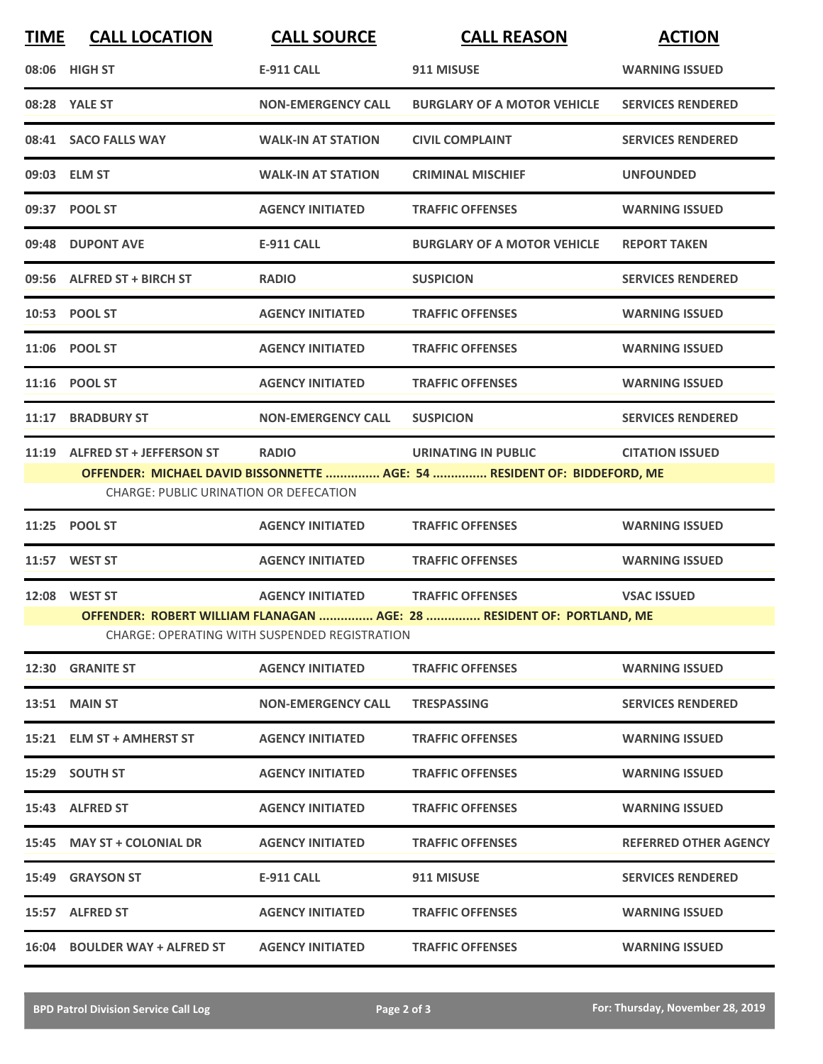| <b>TIME</b> | <b>CALL LOCATION</b>                                                                                                   | <b>CALL SOURCE</b>        | <b>CALL REASON</b>                                                       | <b>ACTION</b>                |  |  |
|-------------|------------------------------------------------------------------------------------------------------------------------|---------------------------|--------------------------------------------------------------------------|------------------------------|--|--|
|             | 08:06 HIGH ST                                                                                                          | <b>E-911 CALL</b>         | 911 MISUSE                                                               | <b>WARNING ISSUED</b>        |  |  |
|             | 08:28 YALE ST                                                                                                          | <b>NON-EMERGENCY CALL</b> | <b>BURGLARY OF A MOTOR VEHICLE</b>                                       | <b>SERVICES RENDERED</b>     |  |  |
|             | 08:41 SACO FALLS WAY                                                                                                   | <b>WALK-IN AT STATION</b> | <b>CIVIL COMPLAINT</b>                                                   | <b>SERVICES RENDERED</b>     |  |  |
|             | 09:03 ELM ST                                                                                                           | <b>WALK-IN AT STATION</b> | <b>CRIMINAL MISCHIEF</b>                                                 | <b>UNFOUNDED</b>             |  |  |
|             | 09:37 POOL ST                                                                                                          | <b>AGENCY INITIATED</b>   | <b>TRAFFIC OFFENSES</b>                                                  | <b>WARNING ISSUED</b>        |  |  |
|             | 09:48 DUPONT AVE                                                                                                       | <b>E-911 CALL</b>         | <b>BURGLARY OF A MOTOR VEHICLE</b>                                       | <b>REPORT TAKEN</b>          |  |  |
|             | 09:56 ALFRED ST + BIRCH ST                                                                                             | <b>RADIO</b>              | <b>SUSPICION</b>                                                         | <b>SERVICES RENDERED</b>     |  |  |
|             | 10:53 POOL ST                                                                                                          | <b>AGENCY INITIATED</b>   | <b>TRAFFIC OFFENSES</b>                                                  | <b>WARNING ISSUED</b>        |  |  |
|             | 11:06 POOL ST                                                                                                          | <b>AGENCY INITIATED</b>   | <b>TRAFFIC OFFENSES</b>                                                  | <b>WARNING ISSUED</b>        |  |  |
| 11:16       | <b>POOL ST</b>                                                                                                         | <b>AGENCY INITIATED</b>   | <b>TRAFFIC OFFENSES</b>                                                  | <b>WARNING ISSUED</b>        |  |  |
|             | 11:17 BRADBURY ST                                                                                                      | <b>NON-EMERGENCY CALL</b> | <b>SUSPICION</b>                                                         | <b>SERVICES RENDERED</b>     |  |  |
|             | 11:19 ALFRED ST + JEFFERSON ST                                                                                         | <b>RADIO</b>              | <b>URINATING IN PUBLIC</b>                                               | <b>CITATION ISSUED</b>       |  |  |
|             | <b>CHARGE: PUBLIC URINATION OR DEFECATION</b>                                                                          |                           | OFFENDER: MICHAEL DAVID BISSONNETTE  AGE: 54  RESIDENT OF: BIDDEFORD, ME |                              |  |  |
| 11:25       | <b>POOL ST</b>                                                                                                         | <b>AGENCY INITIATED</b>   | <b>TRAFFIC OFFENSES</b>                                                  | <b>WARNING ISSUED</b>        |  |  |
|             | 11:57 WEST ST                                                                                                          | <b>AGENCY INITIATED</b>   | <b>TRAFFIC OFFENSES</b>                                                  | <b>WARNING ISSUED</b>        |  |  |
|             | 12:08 WEST ST                                                                                                          | <b>AGENCY INITIATED</b>   | <b>TRAFFIC OFFENSES</b>                                                  | <b>VSAC ISSUED</b>           |  |  |
|             | OFFENDER: ROBERT WILLIAM FLANAGAN  AGE: 28  RESIDENT OF: PORTLAND, ME<br>CHARGE: OPERATING WITH SUSPENDED REGISTRATION |                           |                                                                          |                              |  |  |
| 12:30       | <b>GRANITE ST</b>                                                                                                      | <b>AGENCY INITIATED</b>   | <b>TRAFFIC OFFENSES</b>                                                  | <b>WARNING ISSUED</b>        |  |  |
|             | <b>13:51 MAIN ST</b>                                                                                                   | <b>NON-EMERGENCY CALL</b> | <b>TRESPASSING</b>                                                       | <b>SERVICES RENDERED</b>     |  |  |
|             | 15:21 ELM ST + AMHERST ST                                                                                              | <b>AGENCY INITIATED</b>   | <b>TRAFFIC OFFENSES</b>                                                  | <b>WARNING ISSUED</b>        |  |  |
|             | 15:29 SOUTH ST                                                                                                         | <b>AGENCY INITIATED</b>   | <b>TRAFFIC OFFENSES</b>                                                  | <b>WARNING ISSUED</b>        |  |  |
|             | 15:43 ALFRED ST                                                                                                        | <b>AGENCY INITIATED</b>   | <b>TRAFFIC OFFENSES</b>                                                  | <b>WARNING ISSUED</b>        |  |  |
|             | 15:45 MAY ST + COLONIAL DR                                                                                             | <b>AGENCY INITIATED</b>   | <b>TRAFFIC OFFENSES</b>                                                  | <b>REFERRED OTHER AGENCY</b> |  |  |
|             | 15:49 GRAYSON ST                                                                                                       | E-911 CALL                | 911 MISUSE                                                               | <b>SERVICES RENDERED</b>     |  |  |
|             | 15:57 ALFRED ST                                                                                                        | <b>AGENCY INITIATED</b>   | <b>TRAFFIC OFFENSES</b>                                                  | <b>WARNING ISSUED</b>        |  |  |
|             | 16:04 BOULDER WAY + ALFRED ST                                                                                          | <b>AGENCY INITIATED</b>   | <b>TRAFFIC OFFENSES</b>                                                  | <b>WARNING ISSUED</b>        |  |  |